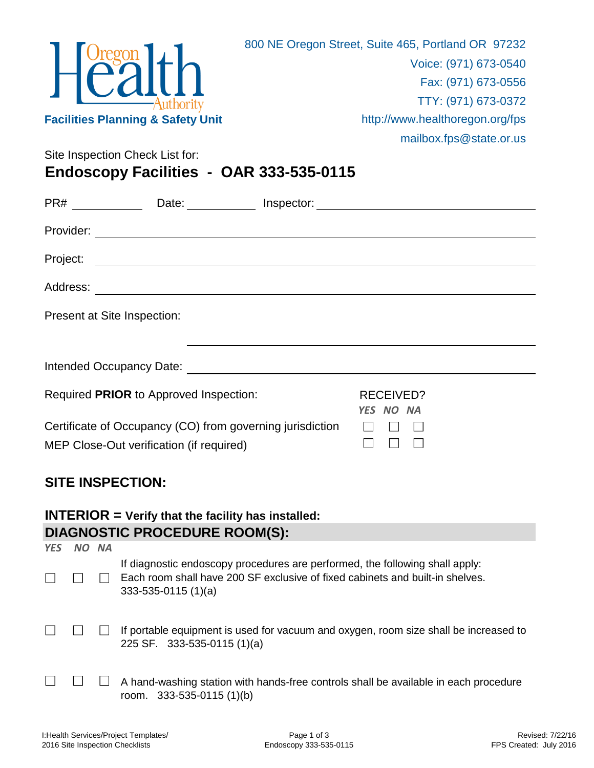

Site Inspection Check List for:

**Endoscopy Facilities - OAR 333-535-0115**

|          | Date: Inspector:                                                                                      |                                      |  |
|----------|-------------------------------------------------------------------------------------------------------|--------------------------------------|--|
|          |                                                                                                       |                                      |  |
| Project: |                                                                                                       |                                      |  |
| Address: |                                                                                                       |                                      |  |
|          | Present at Site Inspection:                                                                           |                                      |  |
|          | Intended Occupancy Date: \\end{\bmg>{\bmg>{\bmg}}{\bmg>{\bmg}}}}                                      |                                      |  |
|          | Required PRIOR to Approved Inspection:                                                                | <b>RECEIVED?</b><br><b>YES NO NA</b> |  |
|          | Certificate of Occupancy (CO) from governing jurisdiction<br>MEP Close-Out verification (if required) |                                      |  |

## **SITE INSPECTION:**

## **INTERIOR = Verify that the facility has installed: DIAGNOSTIC PROCEDURE ROOM(S):**

| <b>YES</b> | <b>NA</b> |                                                                                                                                                                                       |
|------------|-----------|---------------------------------------------------------------------------------------------------------------------------------------------------------------------------------------|
|            |           | If diagnostic endoscopy procedures are performed, the following shall apply:<br>Each room shall have 200 SF exclusive of fixed cabinets and built-in shelves.<br>$333-535-0115(1)(a)$ |
|            |           | If portable equipment is used for vacuum and oxygen, room size shall be increased to<br>225 SF. 333-535-0115 (1)(a)                                                                   |
|            |           | A hand-washing station with hands-free controls shall be available in each procedure<br>room. $333-535-0115(1)(b)$                                                                    |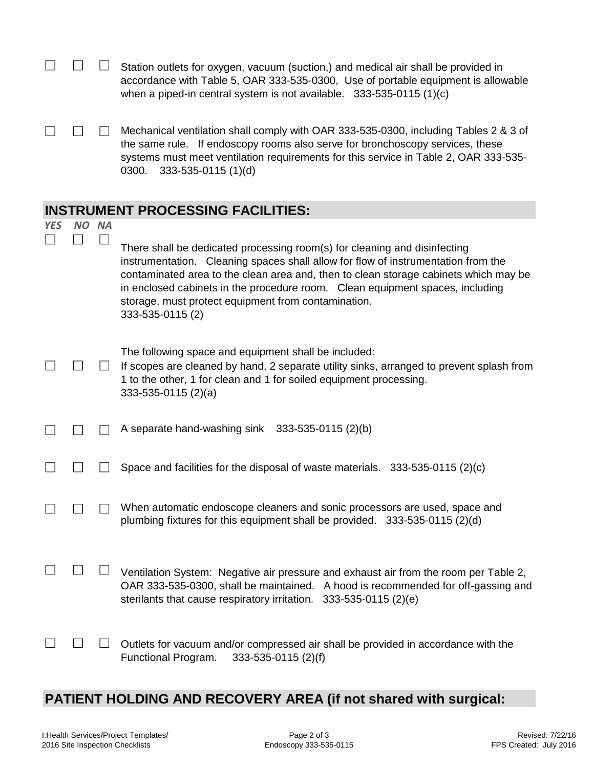|            |       | Station outlets for oxygen, vacuum (suction,) and medical air shall be provided in<br>accordance with Table 5, OAR 333-535-0300, Use of portable equipment is allowable<br>when a piped-in central system is not available. $333-535-0115(1)(c)$                                                                                                                                                                   |
|------------|-------|--------------------------------------------------------------------------------------------------------------------------------------------------------------------------------------------------------------------------------------------------------------------------------------------------------------------------------------------------------------------------------------------------------------------|
|            |       | Mechanical ventilation shall comply with OAR 333-535-0300, including Tables 2 & 3 of<br>the same rule. If endoscopy rooms also serve for bronchoscopy services, these<br>systems must meet ventilation requirements for this service in Table 2, OAR 333-535-<br>333-535-0115 (1)(d)<br>0300.                                                                                                                      |
|            |       | <b>INSTRUMENT PROCESSING FACILITIES:</b>                                                                                                                                                                                                                                                                                                                                                                           |
| <b>YES</b> | NO NA | There shall be dedicated processing room(s) for cleaning and disinfecting<br>instrumentation. Cleaning spaces shall allow for flow of instrumentation from the<br>contaminated area to the clean area and, then to clean storage cabinets which may be<br>in enclosed cabinets in the procedure room. Clean equipment spaces, including<br>storage, must protect equipment from contamination.<br>333-535-0115 (2) |
|            |       | The following space and equipment shall be included:<br>If scopes are cleaned by hand, 2 separate utility sinks, arranged to prevent splash from<br>1 to the other, 1 for clean and 1 for soiled equipment processing.<br>$333-535-0115(2)(a)$                                                                                                                                                                     |
|            |       | A separate hand-washing sink $333-535-0115(2)(b)$                                                                                                                                                                                                                                                                                                                                                                  |
|            |       | Space and facilities for the disposal of waste materials. $333-535-0115(2)(c)$                                                                                                                                                                                                                                                                                                                                     |
|            |       | When automatic endoscope cleaners and sonic processors are used, space and<br>plumbing fixtures for this equipment shall be provided. 333-535-0115 (2)(d)                                                                                                                                                                                                                                                          |
|            |       | Ventilation System: Negative air pressure and exhaust air from the room per Table 2,<br>OAR 333-535-0300, shall be maintained. A hood is recommended for off-gassing and<br>sterilants that cause respiratory irritation.<br>333-535-0115 (2)(e)                                                                                                                                                                   |
|            |       | Outlets for vacuum and/or compressed air shall be provided in accordance with the<br>Functional Program.<br>333-535-0115 (2)(f)                                                                                                                                                                                                                                                                                    |

## **PATIENT HOLDING AND RECOVERY AREA (if not shared with surgical:**